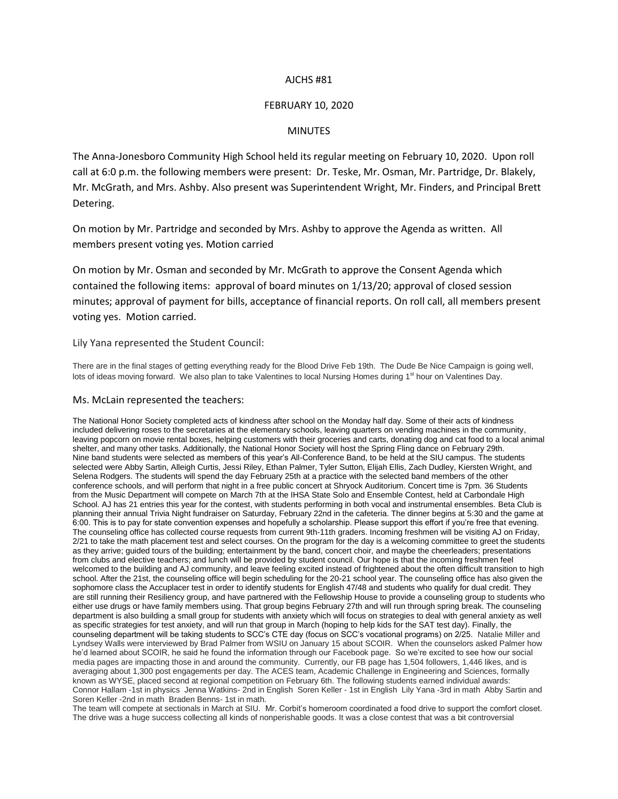# AJCHS #81

# FEBRUARY 10, 2020

## MINUTES

The Anna-Jonesboro Community High School held its regular meeting on February 10, 2020. Upon roll call at 6:0 p.m. the following members were present: Dr. Teske, Mr. Osman, Mr. Partridge, Dr. Blakely, Mr. McGrath, and Mrs. Ashby. Also present was Superintendent Wright, Mr. Finders, and Principal Brett Detering.

On motion by Mr. Partridge and seconded by Mrs. Ashby to approve the Agenda as written. All members present voting yes. Motion carried

On motion by Mr. Osman and seconded by Mr. McGrath to approve the Consent Agenda which contained the following items: approval of board minutes on 1/13/20; approval of closed session minutes; approval of payment for bills, acceptance of financial reports. On roll call, all members present voting yes. Motion carried.

### Lily Yana represented the Student Council:

There are in the final stages of getting everything ready for the Blood Drive Feb 19th. The Dude Be Nice Campaign is going well, lots of ideas moving forward. We also plan to take Valentines to local Nursing Homes during 1<sup>st</sup> hour on Valentines Day.

#### Ms. McLain represented the teachers:

The National Honor Society completed acts of kindness after school on the Monday half day. Some of their acts of kindness included delivering roses to the secretaries at the elementary schools, leaving quarters on vending machines in the community, leaving popcorn on movie rental boxes, helping customers with their groceries and carts, donating dog and cat food to a local animal shelter, and many other tasks. Additionally, the National Honor Society will host the Spring Fling dance on February 29th. Nine band students were selected as members of this year's All-Conference Band, to be held at the SIU campus. The students selected were Abby Sartin, Alleigh Curtis, Jessi Riley, Ethan Palmer, Tyler Sutton, Elijah Ellis, Zach Dudley, Kiersten Wright, and Selena Rodgers. The students will spend the day February 25th at a practice with the selected band members of the other conference schools, and will perform that night in a free public concert at Shryock Auditorium. Concert time is 7pm. 36 Students from the Music Department will compete on March 7th at the IHSA State Solo and Ensemble Contest, held at Carbondale High School. AJ has 21 entries this year for the contest, with students performing in both vocal and instrumental ensembles. Beta Club is planning their annual Trivia Night fundraiser on Saturday, February 22nd in the cafeteria. The dinner begins at 5:30 and the game at 6:00. This is to pay for state convention expenses and hopefully a scholarship. Please support this effort if you're free that evening. The counseling office has collected course requests from current 9th-11th graders. Incoming freshmen will be visiting AJ on Friday, 2/21 to take the math placement test and select courses. On the program for the day is a welcoming committee to greet the students as they arrive; guided tours of the building; entertainment by the band, concert choir, and maybe the cheerleaders; presentations from clubs and elective teachers; and lunch will be provided by student council. Our hope is that the incoming freshmen feel welcomed to the building and AJ community, and leave feeling excited instead of frightened about the often difficult transition to high school. After the 21st, the counseling office will begin scheduling for the 20-21 school year. The counseling office has also given the sophomore class the Accuplacer test in order to identify students for English 47/48 and students who qualify for dual credit. They are still running their Resiliency group, and have partnered with the Fellowship House to provide a counseling group to students who either use drugs or have family members using. That group begins February 27th and will run through spring break. The counseling department is also building a small group for students with anxiety which will focus on strategies to deal with general anxiety as well as specific strategies for test anxiety, and will run that group in March (hoping to help kids for the SAT test day). Finally, the counseling department will be taking students to SCC's CTE day (focus on SCC's vocational programs) on 2/25. Natalie Miller and Lyndsey Walls were interviewed by Brad Palmer from WSIU on January 15 about SCOIR. When the counselors asked Palmer how he'd learned about SCOIR, he said he found the information through our Facebook page. So we're excited to see how our social media pages are impacting those in and around the community. Currently, our FB page has 1,504 followers, 1,446 likes, and is averaging about 1,300 post engagements per day. The ACES team, Academic Challenge in Engineering and Sciences, formally known as WYSE, placed second at regional competition on February 6th. The following students earned individual awards: Connor Hallam -1st in physics Jenna Watkins- 2nd in English Soren Keller - 1st in English Lily Yana -3rd in math Abby Sartin and Soren Keller -2nd in math Braden Benns- 1st in math.

The team will compete at sectionals in March at SIU. Mr. Corbit's homeroom coordinated a food drive to support the comfort closet. The drive was a huge success collecting all kinds of nonperishable goods. It was a close contest that was a bit controversial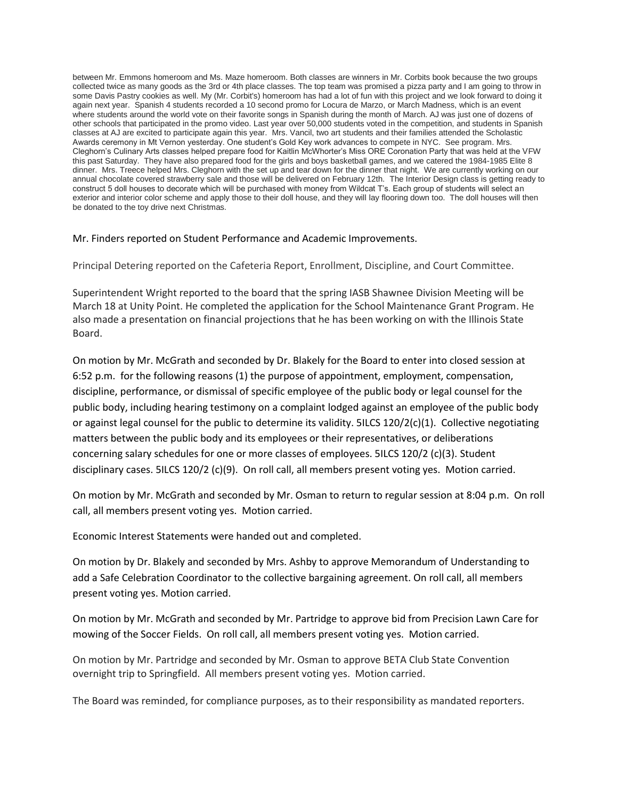between Mr. Emmons homeroom and Ms. Maze homeroom. Both classes are winners in Mr. Corbits book because the two groups collected twice as many goods as the 3rd or 4th place classes. The top team was promised a pizza party and I am going to throw in some Davis Pastry cookies as well. My (Mr. Corbit's) homeroom has had a lot of fun with this project and we look forward to doing it again next year. Spanish 4 students recorded a 10 second promo for Locura de Marzo, or March Madness, which is an event where students around the world vote on their favorite songs in Spanish during the month of March. AJ was just one of dozens of other schools that participated in the promo video. Last year over 50,000 students voted in the competition, and students in Spanish classes at AJ are excited to participate again this year. Mrs. Vancil, two art students and their families attended the Scholastic Awards ceremony in Mt Vernon yesterday. One student's Gold Key work advances to compete in NYC. See program. Mrs. Cleghorn's Culinary Arts classes helped prepare food for Kaitlin McWhorter's Miss ORE Coronation Party that was held at the VFW this past Saturday. They have also prepared food for the girls and boys basketball games, and we catered the 1984-1985 Elite 8 dinner. Mrs. Treece helped Mrs. Cleghorn with the set up and tear down for the dinner that night. We are currently working on our annual chocolate covered strawberry sale and those will be delivered on February 12th. The Interior Design class is getting ready to construct 5 doll houses to decorate which will be purchased with money from Wildcat T's. Each group of students will select an exterior and interior color scheme and apply those to their doll house, and they will lay flooring down too. The doll houses will then be donated to the toy drive next Christmas.

Mr. Finders reported on Student Performance and Academic Improvements.

Principal Detering reported on the Cafeteria Report, Enrollment, Discipline, and Court Committee.

Superintendent Wright reported to the board that the spring IASB Shawnee Division Meeting will be March 18 at Unity Point. He completed the application for the School Maintenance Grant Program. He also made a presentation on financial projections that he has been working on with the Illinois State Board.

On motion by Mr. McGrath and seconded by Dr. Blakely for the Board to enter into closed session at 6:52 p.m. for the following reasons (1) the purpose of appointment, employment, compensation, discipline, performance, or dismissal of specific employee of the public body or legal counsel for the public body, including hearing testimony on a complaint lodged against an employee of the public body or against legal counsel for the public to determine its validity. 5ILCS 120/2(c)(1). Collective negotiating matters between the public body and its employees or their representatives, or deliberations concerning salary schedules for one or more classes of employees. 5ILCS 120/2 (c)(3). Student disciplinary cases. 5ILCS 120/2 (c)(9). On roll call, all members present voting yes. Motion carried.

On motion by Mr. McGrath and seconded by Mr. Osman to return to regular session at 8:04 p.m. On roll call, all members present voting yes. Motion carried.

Economic Interest Statements were handed out and completed.

On motion by Dr. Blakely and seconded by Mrs. Ashby to approve Memorandum of Understanding to add a Safe Celebration Coordinator to the collective bargaining agreement. On roll call, all members present voting yes. Motion carried.

On motion by Mr. McGrath and seconded by Mr. Partridge to approve bid from Precision Lawn Care for mowing of the Soccer Fields. On roll call, all members present voting yes. Motion carried.

On motion by Mr. Partridge and seconded by Mr. Osman to approve BETA Club State Convention overnight trip to Springfield. All members present voting yes. Motion carried.

The Board was reminded, for compliance purposes, as to their responsibility as mandated reporters.